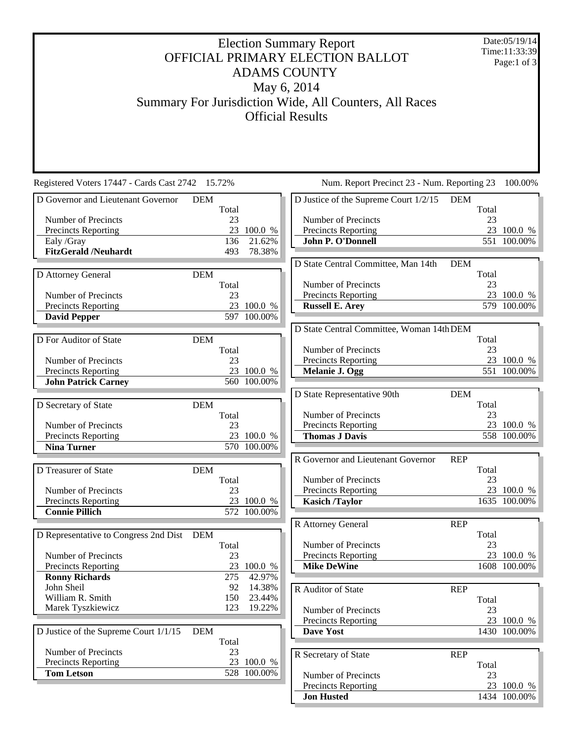## Election Summary Report OFFICIAL PRIMARY ELECTION BALLOT ADAMS COUNTY May 6, 2014 Summary For Jurisdiction Wide, All Counters, All Races Official Results

Date:05/19/14 Time:11:33:39 Page:1 of 3

| Registered Voters 17447 - Cards Cast 2742 15.72% |            |       | Num. Report Precinct 23 - Num. Reporting 23 |                                           |            | 100.00% |              |
|--------------------------------------------------|------------|-------|---------------------------------------------|-------------------------------------------|------------|---------|--------------|
| D Governor and Lieutenant Governor               | <b>DEM</b> |       |                                             | D Justice of the Supreme Court 1/2/15     | <b>DEM</b> |         |              |
|                                                  |            | Total |                                             |                                           |            | Total   |              |
| Number of Precincts                              |            | 23    |                                             | Number of Precincts                       |            | 23      |              |
| <b>Precincts Reporting</b>                       |            |       | 23 100.0 %                                  | <b>Precincts Reporting</b>                |            |         | 23 100.0 %   |
| Ealy /Gray                                       |            | 136   | 21.62%                                      | John P. O'Donnell                         |            |         | 551 100.00%  |
| <b>FitzGerald /Neuhardt</b>                      |            | 493   | 78.38%                                      |                                           |            |         |              |
|                                                  |            |       |                                             | D State Central Committee, Man 14th       | <b>DEM</b> |         |              |
| D Attorney General                               | <b>DEM</b> |       |                                             |                                           |            | Total   |              |
|                                                  |            | Total |                                             | Number of Precincts                       |            | 23      |              |
| Number of Precincts                              |            | 23    |                                             | Precincts Reporting                       |            |         | 23 100.0 %   |
| <b>Precincts Reporting</b>                       |            |       | 23 100.0 %                                  | <b>Russell E. Arey</b>                    |            |         | 579 100.00%  |
| <b>David Pepper</b>                              |            |       | 597 100.00%                                 |                                           |            |         |              |
|                                                  |            |       |                                             | D State Central Committee, Woman 14th DEM |            |         |              |
| D For Auditor of State                           | <b>DEM</b> |       |                                             |                                           |            | Total   |              |
|                                                  |            | Total |                                             | Number of Precincts                       |            | 23      |              |
| Number of Precincts                              |            | 23    |                                             | Precincts Reporting                       |            |         | 23 100.0 %   |
| <b>Precincts Reporting</b>                       |            |       | 23 100.0 %                                  | Melanie J. Ogg                            |            |         | 551 100.00%  |
| <b>John Patrick Carney</b>                       |            |       | 560 100.00%                                 |                                           |            |         |              |
|                                                  |            |       |                                             | D State Representative 90th               | <b>DEM</b> |         |              |
| D Secretary of State                             | <b>DEM</b> |       |                                             |                                           |            | Total   |              |
|                                                  |            | Total |                                             | Number of Precincts                       |            | 23      |              |
| Number of Precincts                              |            | 23    |                                             | Precincts Reporting                       |            |         | 23 100.0 %   |
| <b>Precincts Reporting</b>                       |            |       | 23 100.0 %                                  | <b>Thomas J Davis</b>                     |            |         | 558 100.00%  |
| <b>Nina Turner</b>                               |            |       | 570 100.00%                                 |                                           |            |         |              |
|                                                  |            |       |                                             | R Governor and Lieutenant Governor        | <b>REP</b> |         |              |
| D Treasurer of State                             | <b>DEM</b> |       |                                             |                                           |            | Total   |              |
|                                                  |            | Total |                                             | Number of Precincts                       |            | 23      |              |
| Number of Precincts                              |            | 23    |                                             | <b>Precincts Reporting</b>                |            |         | 23 100.0 %   |
| Precincts Reporting                              |            |       | 23 100.0 %                                  | <b>Kasich /Taylor</b>                     |            |         | 1635 100.00% |
| <b>Connie Pillich</b>                            |            |       | 572 100.00%                                 |                                           |            |         |              |
|                                                  |            |       |                                             | R Attorney General                        | <b>REP</b> |         |              |
| D Representative to Congress 2nd Dist DEM        |            |       |                                             |                                           |            | Total   |              |
|                                                  |            | Total |                                             | Number of Precincts                       |            | 23      |              |
| Number of Precincts                              |            | 23    |                                             | Precincts Reporting                       |            |         | 23 100.0 %   |
| <b>Precincts Reporting</b>                       |            |       | 23 100.0 %                                  | <b>Mike DeWine</b>                        |            |         | 1608 100.00% |
| <b>Ronny Richards</b>                            |            | 275   | 42.97%                                      |                                           |            |         |              |
| John Sheil                                       |            | 92    | 14.38%                                      | R Auditor of State                        | <b>REP</b> |         |              |
| William R. Smith                                 |            | 150   | 23.44%                                      |                                           |            | Total   |              |
| Marek Tyszkiewicz                                |            | 123   | 19.22%                                      | Number of Precincts                       |            | 23      |              |
|                                                  |            |       |                                             | Precincts Reporting                       |            |         | 23 100.0 %   |
| D Justice of the Supreme Court 1/1/15            | <b>DEM</b> |       |                                             | Dave Yost                                 |            |         | 1430 100.00% |
|                                                  |            | Total |                                             |                                           |            |         |              |
| Number of Precincts                              |            | 23    |                                             | R Secretary of State                      | <b>REP</b> |         |              |
| <b>Precincts Reporting</b>                       |            |       | 23 100.0 %                                  |                                           |            | Total   |              |
| <b>Tom Letson</b>                                |            |       | 528 100.00%                                 | Number of Precincts                       |            | 23      |              |
|                                                  |            |       |                                             | Precincts Reporting                       |            |         | 23 100.0 %   |

**Jon Husted** 1434 100.00%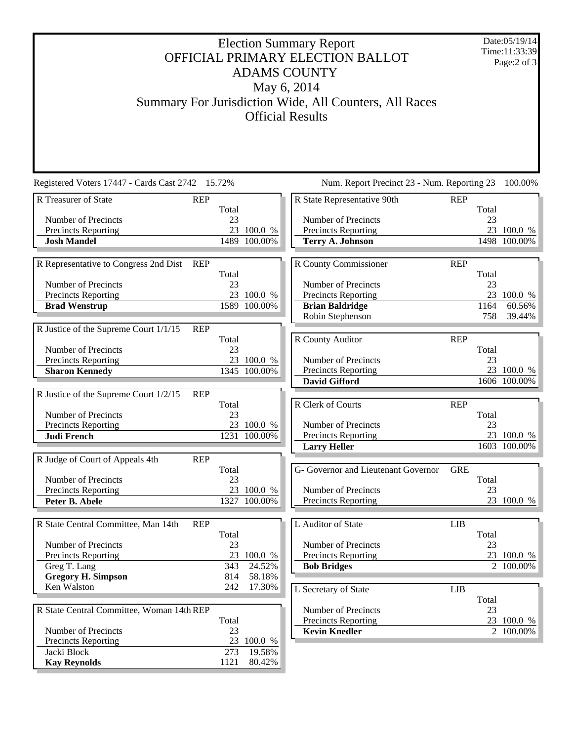## Election Summary Report OFFICIAL PRIMARY ELECTION BALLOT ADAMS COUNTY May 6, 2014 Summary For Jurisdiction Wide, All Counters, All Races Official Results

Date:05/19/14 Time:11:33:39 Page:2 of 3

| Registered Voters 17447 - Cards Cast 2742 15.72%    |       |              | Num. Report Precinct 23 - Num. Reporting 23 |            |       | 100.00%      |
|-----------------------------------------------------|-------|--------------|---------------------------------------------|------------|-------|--------------|
| R Treasurer of State<br><b>REP</b>                  |       |              | R State Representative 90th                 | <b>REP</b> |       |              |
|                                                     | Total |              |                                             |            | Total |              |
| Number of Precincts                                 | 23    |              | Number of Precincts                         |            | 23    |              |
| Precincts Reporting                                 |       | 23 100.0 %   | Precincts Reporting                         |            |       | 23 100.0 %   |
| <b>Josh Mandel</b>                                  |       | 1489 100.00% | <b>Terry A. Johnson</b>                     |            |       | 1498 100.00% |
|                                                     |       |              |                                             |            |       |              |
| R Representative to Congress 2nd Dist<br><b>REP</b> |       |              | R County Commissioner                       | <b>REP</b> |       |              |
|                                                     | Total |              |                                             |            | Total |              |
| Number of Precincts                                 | 23    |              | Number of Precincts                         |            | 23    |              |
| <b>Precincts Reporting</b>                          |       | 23 100.0 %   | Precincts Reporting                         |            |       | 23 100.0 %   |
| <b>Brad Wenstrup</b>                                |       | 1589 100.00% | <b>Brian Baldridge</b>                      |            | 1164  | 60.56%       |
|                                                     |       |              | Robin Stephenson                            |            | 758   | 39.44%       |
| R Justice of the Supreme Court 1/1/15<br><b>REP</b> |       |              |                                             |            |       |              |
|                                                     | Total |              | R County Auditor                            | <b>REP</b> |       |              |
| Number of Precincts                                 | 23    |              |                                             |            | Total |              |
| <b>Precincts Reporting</b>                          |       | 23 100.0 %   | Number of Precincts                         |            | 23    |              |
| <b>Sharon Kennedy</b>                               |       | 1345 100.00% | Precincts Reporting                         |            |       | 23 100.0 %   |
|                                                     |       |              | <b>David Gifford</b>                        |            |       | 1606 100.00% |
| R Justice of the Supreme Court 1/2/15<br><b>REP</b> |       |              |                                             |            |       |              |
|                                                     | Total |              | R Clerk of Courts                           | <b>REP</b> |       |              |
| Number of Precincts                                 | 23    |              |                                             |            | Total |              |
| Precincts Reporting                                 |       | 23 100.0 %   | Number of Precincts                         |            | 23    |              |
| <b>Judi French</b>                                  |       | 1231 100.00% | Precincts Reporting                         |            |       | 23 100.0 %   |
|                                                     |       |              | <b>Larry Heller</b>                         |            |       | 1603 100.00% |
| R Judge of Court of Appeals 4th<br><b>REP</b>       |       |              |                                             |            |       |              |
|                                                     | Total |              | G- Governor and Lieutenant Governor         | <b>GRE</b> |       |              |
| Number of Precincts                                 | 23    |              |                                             |            | Total |              |
| Precincts Reporting                                 |       | 23 100.0 %   | Number of Precincts                         |            | 23    |              |
| Peter B. Abele                                      |       | 1327 100.00% | Precincts Reporting                         |            |       | 23 100.0 %   |
|                                                     |       |              |                                             |            |       |              |
| R State Central Committee, Man 14th<br><b>REP</b>   |       |              | L Auditor of State                          | <b>LIB</b> |       |              |
|                                                     | Total |              |                                             |            | Total |              |
| Number of Precincts                                 | 23    |              | Number of Precincts                         |            | 23    |              |
| <b>Precincts Reporting</b>                          | 23    | 100.0 %      | <b>Precincts Reporting</b>                  |            |       | 23 100.0 %   |
| Greg T. Lang                                        | 343   | 24.52%       | <b>Bob Bridges</b>                          |            |       | 2 100.00%    |
| <b>Gregory H. Simpson</b>                           | 814   | 58.18%       |                                             |            |       |              |
| Ken Walston                                         | 242   | 17.30%       | L Secretary of State                        | <b>LIB</b> |       |              |
|                                                     |       |              |                                             |            | Total |              |
| R State Central Committee, Woman 14th REP           |       |              | Number of Precincts                         |            | 23    |              |
|                                                     | Total |              | Precincts Reporting                         |            |       | 23 100.0 %   |
| Number of Precincts                                 | 23    |              | <b>Kevin Knedler</b>                        |            |       | 2 100.00%    |
| <b>Precincts Reporting</b>                          |       | 23 100.0 %   |                                             |            |       |              |
| Jacki Block                                         | 273   | 19.58%       |                                             |            |       |              |
| <b>Kay Reynolds</b>                                 | 1121  | 80.42%       |                                             |            |       |              |